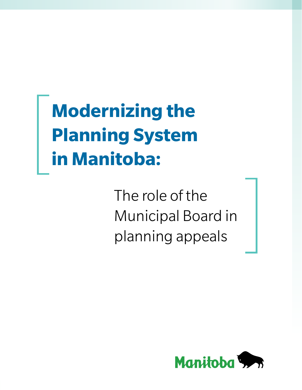# **Modernizing the Planning System in Manitoba:**

The role of the Municipal Board in planning appeals

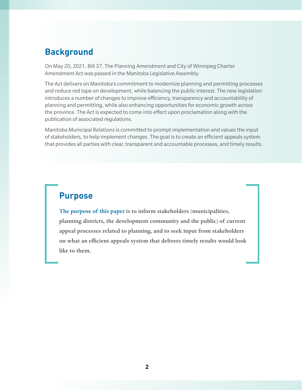# **Background**

On May 20, 2021, Bill 37, The Planning Amendment and City of Winnipeg Charter Amendment Act was passed in the Manitoba Legislative Assembly.

The Act delivers on Manitoba's commitment to modernize planning and permitting processes and reduce red tape on development, while balancing the public interest. The new legislation introduces a number of changes to improve efficiency, transparency and accountability of planning and permitting, while also enhancing opportunities for economic growth across the province. The Act is expected to come into effect upon proclamation along with the publication of associated regulations.

Manitoba Municipal Relations is committed to prompt implementation and values the input of stakeholders, to help implement changes. The goal is to create an efficient appeals system that provides all parties with clear, transparent and accountable processes, and timely results.

# **Purpose**

**The purpose of this paper is to inform stakeholders (municipalities, planning districts, the development community and the public) of current appeal processes related to planning, and to seek input from stakeholders on what an efficient appeals system that delivers timely results would look like to them.**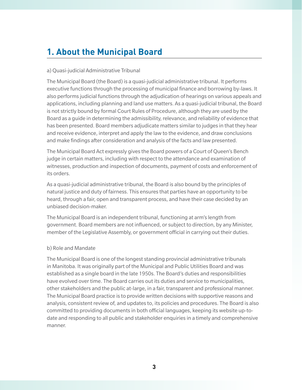# **1. About the Municipal Board**

#### a) Quasi-judicial Administrative Tribunal

The Municipal Board (the Board) is a quasi-judicial administrative tribunal. It performs executive functions through the processing of municipal finance and borrowing by-laws. It also performs judicial functions through the adjudication of hearings on various appeals and applications, including planning and land use matters. As a quasi-judicial tribunal, the Board is not strictly bound by formal Court Rules of Procedure, although they are used by the Board as a guide in determining the admissibility, relevance, and reliability of evidence that has been presented. Board members adjudicate matters similar to judges in that they hear and receive evidence, interpret and apply the law to the evidence, and draw conclusions and make findings after consideration and analysis of the facts and law presented.

The Municipal Board Act expressly gives the Board powers of a Court of Queen's Bench judge in certain matters, including with respect to the attendance and examination of witnesses, production and inspection of documents, payment of costs and enforcement of its orders.

As a quasi-judicial administrative tribunal, the Board is also bound by the principles of natural justice and duty of fairness. This ensures that parties have an opportunity to be heard, through a fair, open and transparent process, and have their case decided by an unbiased decision-maker.

The Municipal Board is an independent tribunal, functioning at arm's length from government. Board members are not influenced, or subject to direction, by any Minister, member of the Legislative Assembly, or government official in carrying out their duties.

#### b) Role and Mandate

The Municipal Board is one of the longest standing provincial administrative tribunals in Manitoba. It was originally part of the Municipal and Public Utilities Board and was established as a single board in the late 1950s. The Board's duties and responsibilities have evolved over time. The Board carries out its duties and service to municipalities, other stakeholders and the public at-large, in a fair, transparent and professional manner. The Municipal Board practice is to provide written decisions with supportive reasons and analysis, consistent review of, and updates to, its policies and procedures. The Board is also committed to providing documents in both official languages, keeping its website up-todate and responding to all public and stakeholder enquiries in a timely and comprehensive manner.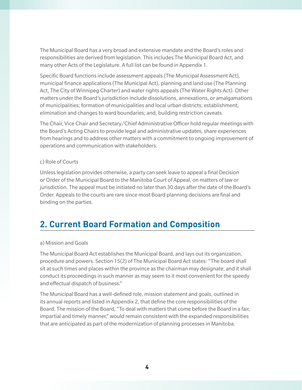The Municipal Board has a very broad and extensive mandate and the Board's roles and responsibilities are derived from legislation. This includes The Municipal Board Act, and many other Acts of the Legislature. A full list can be found in Appendix 1.

Specific Board functions include assessment appeals (The Municipal Assessment Act), municipal finance applications (The Municipal Act), planning and land use (The Planning Act, The City of Winnipeg Charter) and water rights appeals (The Water Rights Act). Other matters under the Board's jurisdiction include dissolutions, annexations, or amalgamations of municipalities; formation of municipalities and local urban districts; establishment, elimination and changes to ward boundaries; and, building restriction caveats.

The Chair, Vice Chair and Secretary/Chief Administrative Officer hold regular meetings with the Board's Acting Chairs to provide legal and administrative updates, share experiences from hearings and to address other matters with a commitment to ongoing improvement of operations and communication with stakeholders.

## c) Role of Courts

Unless legislation provides otherwise, a party can seek leave to appeal a final Decision or Order of the Municipal Board to the Manitoba Court of Appeal, on matters of law or jurisdiction. The appeal must be initiated no later than 30 days after the date of the Board's Order. Appeals to the courts are rare since most Board planning decisions are final and binding on the parties.

# **2. Current Board Formation and Composition**

## a) Mission and Goals

The Municipal Board Act establishes the Municipal Board, and lays out its organization, procedure and powers. Section 15(2) of The Municipal Board Act states: "The board shall sit at such times and places within the province as the chairman may designate; and it shall conduct its proceedings in such manner as may seem to it most convenient for the speedy and effectual dispatch of business."

The Municipal Board has a well-defined role, mission statement and goals, outlined in its annual reports and listed in Appendix 2, that define the core responsibilities of the Board. The mission of the Board, "To deal with matters that come before the Board in a fair, impartial and timely manner," would remain consistent with the expanded responsibilities that are anticipated as part of the modernization of planning processes in Manitoba.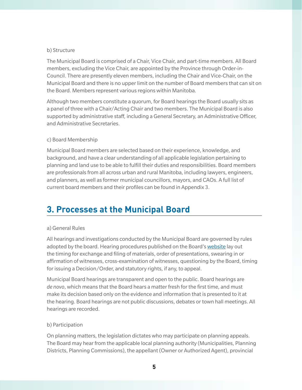## b) Structure

The Municipal Board is comprised of a Chair, Vice Chair, and part-time members. All Board members, excluding the Vice Chair, are appointed by the Province through Order-in-Council. There are presently eleven members, including the Chair and Vice-Chair, on the Municipal Board and there is no upper limit on the number of Board members that can sit on the Board. Members represent various regions within Manitoba.

Although two members constitute a quorum, for Board hearings the Board usually sits as a panel of three with a Chair/Acting Chair and two members. The Municipal Board is also supported by administrative staff, including a General Secretary, an Administrative Officer, and Administrative Secretaries.

## c) Board Membership

Municipal Board members are selected based on their experience, knowledge, and background, and have a clear understanding of all applicable legislation pertaining to planning and land use to be able to fulfill their duties and responsibilities. Board members are professionals from all across urban and rural Manitoba, including lawyers, engineers, and planners, as well as former municipal councillors, mayors, and CAOs. A full list of current board members and their profiles can be found in Appendix 3.

# **3. Processes at the Municipal Board**

#### a) General Rules

All hearings and investigations conducted by the Municipal Board are governed by rules adopted by the board. Hearing procedures published on the Board's [website](https://www.gov.mb.ca/municipalboard/appeals/procedures.html) lay out the timing for exchange and filing of materials, order of presentations, swearing in or affirmation of witnesses, cross-examination of witnesses, questioning by the Board, timing for issuing a Decision/Order, and statutory rights, if any, to appeal.

Municipal Board hearings are transparent and open to the public. Board hearings are *de novo*, which means that the Board hears a matter fresh for the first time, and must make its decision based only on the evidence and information that is presented to it at the hearing. Board hearings are not public discussions, debates or town hall meetings. All hearings are recorded.

## b) Participation

On planning matters, the legislation dictates who may participate on planning appeals. The Board may hear from the applicable local planning authority (Municipalities, Planning Districts, Planning Commissions), the appellant (Owner or Authorized Agent), provincial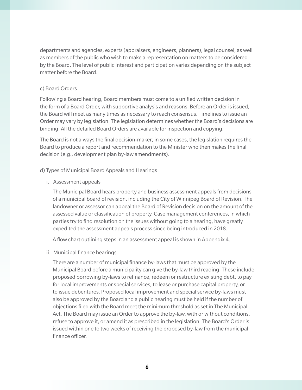departments and agencies, experts (appraisers, engineers, planners), legal counsel, as well as members of the public who wish to make a representation on matters to be considered by the Board. The level of public interest and participation varies depending on the subject matter before the Board.

#### c) Board Orders

Following a Board hearing, Board members must come to a unified written decision in the form of a Board Order, with supportive analysis and reasons. Before an Order is issued, the Board will meet as many times as necessary to reach consensus. Timelines to issue an Order may vary by legislation. The legislation determines whether the Board's decisions are binding. All the detailed Board Orders are available for inspection and copying.

The Board is not always the final decision-maker; in some cases, the legislation requires the Board to produce a report and recommendation to the Minister who then makes the final decision (e.g., development plan by-law amendments).

#### d) Types of Municipal Board Appeals and Hearings

i. Assessment appeals

The Municipal Board hears property and business assessment appeals from decisions of a municipal board of revision, including the City of Winnipeg Board of Revision. The landowner or assessor can appeal the Board of Revision decision on the amount of the assessed value or classification of property. Case management conferences, in which parties try to find resolution on the issues without going to a hearing, have greatly expedited the assessment appeals process since being introduced in 2018.

A flow chart outlining steps in an assessment appeal is shown in Appendix 4.

ii. Municipal finance hearings

There are a number of municipal finance by-laws that must be approved by the Municipal Board before a municipality can give the by-law third reading. These include proposed borrowing by-laws to refinance, redeem or restructure existing debt, to pay for local improvements or special services, to lease or purchase capital property, or to issue debentures. Proposed local improvement and special service by-laws must also be approved by the Board and a public hearing must be held if the number of objections filed with the Board meet the minimum threshold as set in The Municipal Act. The Board may issue an Order to approve the by-law, with or without conditions, refuse to approve it, or amend it as prescribed in the legislation. The Board's Order is issued within one to two weeks of receiving the proposed by-law from the municipal finance officer.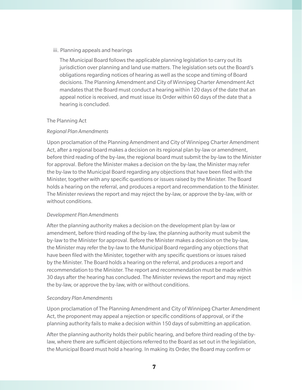#### iii. Planning appeals and hearings

The Municipal Board follows the applicable planning legislation to carry out its jurisdiction over planning and land use matters. The legislation sets out the Board's obligations regarding notices of hearing as well as the scope and timing of Board decisions. The Planning Amendment and City of Winnipeg Charter Amendment Act mandates that the Board must conduct a hearing within 120 days of the date that an appeal notice is received, and must issue its Order within 60 days of the date that a hearing is concluded.

#### The Planning Act

## *Regional Plan Amendments*

Upon proclamation of the Planning Amendment and City of Winnipeg Charter Amendment Act, after a regional board makes a decision on its regional plan by-law or amendment, before third reading of the by-law, the regional board must submit the by-law to the Minister for approval. Before the Minister makes a decision on the by-law, the Minister may refer the by-law to the Municipal Board regarding any objections that have been filed with the Minister, together with any specific questions or issues raised by the Minister. The Board holds a hearing on the referral, and produces a report and recommendation to the Minister. The Minister reviews the report and may reject the by-law, or approve the by-law, with or without conditions.

#### *Development Plan Amendments*

After the planning authority makes a decision on the development plan by-law or amendment, before third reading of the by-law, the planning authority must submit the by-law to the Minister for approval. Before the Minister makes a decision on the by-law, the Minister may refer the by-law to the Municipal Board regarding any objections that have been filed with the Minister, together with any specific questions or issues raised by the Minister. The Board holds a hearing on the referral, and produces a report and recommendation to the Minister. The report and recommendation must be made within 30 days after the hearing has concluded. The Minister reviews the report and may reject the by-law, or approve the by-law, with or without conditions.

## *Secondary Plan Amendments*

Upon proclamation of The Planning Amendment and City of Winnipeg Charter Amendment Act, the proponent may appeal a rejection or specific conditions of approval, or if the planning authority fails to make a decision within 150 days of submitting an application.

After the planning authority holds their public hearing, and before third reading of the bylaw, where there are sufficient objections referred to the Board as set out in the legislation, the Municipal Board must hold a hearing. In making its Order, the Board may confirm or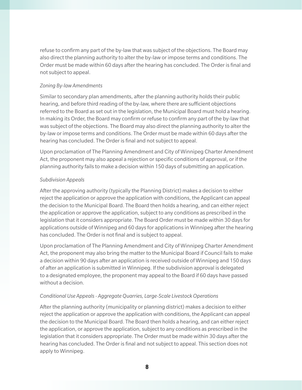refuse to confirm any part of the by-law that was subject of the objections. The Board may also direct the planning authority to alter the by-law or impose terms and conditions. The Order must be made within 60 days after the hearing has concluded. The Order is final and not subject to appeal.

# *Zoning By-law Amendments*

Similar to secondary plan amendments, after the planning authority holds their public hearing, and before third reading of the by-law, where there are sufficient objections referred to the Board as set out in the legislation, the Municipal Board must hold a hearing. In making its Order, the Board may confirm or refuse to confirm any part of the by-law that was subject of the objections. The Board may also direct the planning authority to alter the by-law or impose terms and conditions. The Order must be made within 60 days after the hearing has concluded. The Order is final and not subject to appeal.

Upon proclamation of The Planning Amendment and City of Winnipeg Charter Amendment Act, the proponent may also appeal a rejection or specific conditions of approval, or if the planning authority fails to make a decision within 150 days of submitting an application.

# *Subdivision Appeals*

After the approving authority (typically the Planning District) makes a decision to either reject the application or approve the application with conditions, the Applicant can appeal the decision to the Municipal Board. The Board then holds a hearing, and can either reject the application or approve the application, subject to any conditions as prescribed in the legislation that it considers appropriate. The Board Order must be made within 30 days for applications outside of Winnipeg and 60 days for applications in Winnipeg after the hearing has concluded. The Order is not final and is subject to appeal.

Upon proclamation of The Planning Amendment and City of Winnipeg Charter Amendment Act, the proponent may also bring the matter to the Municipal Board if Council fails to make a decision within 90 days after an application is received outside of Winnipeg and 150 days of after an application is submitted in Winnipeg. If the subdivision approval is delegated to a designated employee, the proponent may appeal to the Board if 60 days have passed without a decision.

# *Conditional Use Appeals - Aggregate Quarries, Large-Scale Livestock Operations*

After the planning authority (municipality or planning district) makes a decision to either reject the application or approve the application with conditions, the Applicant can appeal the decision to the Municipal Board. The Board then holds a hearing, and can either reject the application, or approve the application, subject to any conditions as prescribed in the legislation that it considers appropriate. The Order must be made within 30 days after the hearing has concluded. The Order is final and not subject to appeal. This section does not apply to Winnipeg.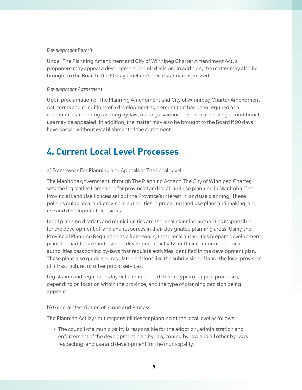#### *Development Permit*

Under The Planning Amendment and City of Winnipeg Charter Amendment Act, a proponent may appeal a development permit decision. In addition, the matter may also be brought to the Board if the 60 day timeline/service standard is missed.

## *Development Agreement*

Upon proclamation of The Planning Amendment and City of Winnipeg Charter Amendment Act, terms and conditions of a development agreement that has been required as a condition of amending a zoning by-law, making a variance order or approving a conditional use may be appealed. In addition, the matter may also be brought to the Board if 90 days have passed without establishment of the agreement.

# **4. Current Local Level Processes**

a) Framework For Planning and Appeals at The Local Level

The Manitoba government, through The Planning Act and The City of Winnipeg Charter, sets the legislative framework for provincial and local land use planning in Manitoba. The Provincial Land Use Policies set out the Province's interest in land use planning. These policies guide local and provincial authorities in preparing land use plans and making land use and development decisions.

Local planning districts and municipalities are the local planning authorities responsible for the development of land and resources in their designated planning areas. Using the Provincial Planning Regulation as a framework, these local authorities prepare development plans to chart future land use and development activity for their communities. Local authorities pass zoning by-laws that regulate activities identified in the development plan. These plans also guide and regulate decisions like the subdivision of land, the local provision of infrastructure, or other public services.

Legislation and regulations lay out a number of different types of appeal processes, depending on location within the province, and the type of planning decision being appealed.

## b) General Description of Scope and Process

The Planning Act lays out responsibilities for planning at the local level as follows:

• The council of a municipality is responsible for the adoption, administration and enforcement of the development plan by-law, zoning by-law and all other by-laws respecting land use and development for the municipality.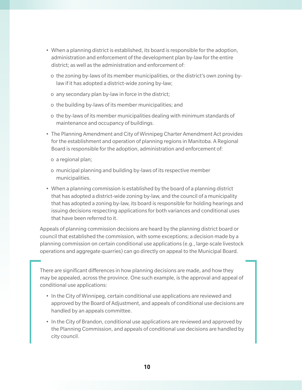- When a planning district is established, its board is responsible for the adoption, administration and enforcement of the development plan by-law for the entire district; as well as the administration and enforcement of:
	- o the zoning by-laws of its member municipalities, or the district's own zoning bylaw if it has adopted a district-wide zoning by-law;
	- o any secondary plan by-law in force in the district;
	- o the building by-laws of its member municipalities; and
	- o the by-laws of its member municipalities dealing with minimum standards of maintenance and occupancy of buildings.
- The Planning Amendment and City of Winnipeg Charter Amendment Act provides for the establishment and operation of planning regions in Manitoba. A Regional Board is responsible for the adoption, administration and enforcement of:
	- o a regional plan;
	- o municipal planning and building by-laws of its respective member municipalities.
- When a planning commission is established by the board of a planning district that has adopted a district-wide zoning by-law, and the council of a municipality that has adopted a zoning by-law, its board is responsible for holding hearings and issuing decisions respecting applications for both variances and conditional uses that have been referred to it.

Appeals of planning commission decisions are heard by the planning district board or council that established the commission, with some exceptions; a decision made by a planning commission on certain conditional use applications (e.g., large-scale livestock operations and aggregate quarries) can go directly on appeal to the Municipal Board.

There are significant differences in how planning decisions are made, and how they may be appealed, across the province. One such example, is the approval and appeal of conditional use applications:

- In the City of Winnipeg, certain conditional use applications are reviewed and approved by the Board of Adjustment, and appeals of conditional use decisions are handled by an appeals committee.
- In the City of Brandon, conditional use applications are reviewed and approved by the Planning Commission, and appeals of conditional use decisions are handled by city council.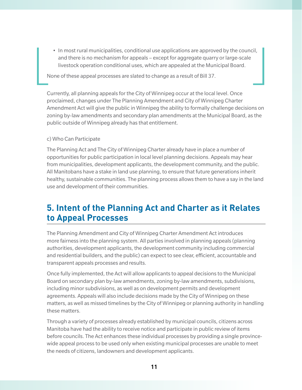• In most rural municipalities, conditional use applications are approved by the council, and there is no mechanism for appeals – except for aggregate quarry or large-scale livestock operation conditional uses, which are appealed at the Municipal Board.

None of these appeal processes are slated to change as a result of Bill 37.

Currently, all planning appeals for the City of Winnipeg occur at the local level. Once proclaimed, changes under The Planning Amendment and City of Winnipeg Charter Amendment Act will give the public in Winnipeg the ability to formally challenge decisions on zoning by-law amendments and secondary plan amendments at the Municipal Board, as the public outside of Winnipeg already has that entitlement.

## c) Who Can Participate

The Planning Act and The City of Winnipeg Charter already have in place a number of opportunities for public participation in local level planning decisions. Appeals may hear from municipalities, development applicants, the development community, and the public. All Manitobans have a stake in land use planning, to ensure that future generations inherit healthy, sustainable communities. The planning process allows them to have a say in the land use and development of their communities.

# **5. Intent of the Planning Act and Charter as it Relates to Appeal Processes**

The Planning Amendment and City of Winnipeg Charter Amendment Act introduces more fairness into the planning system. All parties involved in planning appeals (planning authorities, development applicants, the development community including commercial and residential builders, and the public) can expect to see clear, efficient, accountable and transparent appeals processes and results.

Once fully implemented, the Act will allow applicants to appeal decisions to the Municipal Board on secondary plan by-law amendments, zoning by-law amendments, subdivisions, including minor subdivisions, as well as on development permits and development agreements. Appeals will also include decisions made by the City of Winnipeg on these matters, as well as missed timelines by the City of Winnipeg or planning authority in handling these matters.

Through a variety of processes already established by municipal councils, citizens across Manitoba have had the ability to receive notice and participate in public review of items before councils. The Act enhances these individual processes by providing a single provincewide appeal process to be used only when existing municipal processes are unable to meet the needs of citizens, landowners and development applicants.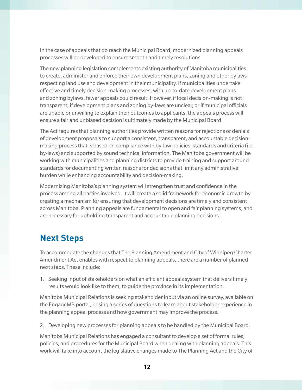In the case of appeals that do reach the Municipal Board, modernized planning appeals processes will be developed to ensure smooth and timely resolutions.

The new planning legislation complements existing authority of Manitoba municipalities to create, administer and enforce their own development plans, zoning and other bylaws respecting land use and development in their municipality. If municipalities undertake effective and timely decision-making processes, with up-to-date development plans and zoning bylaws, fewer appeals could result. However, if local decision-making is not transparent, if development plans and zoning by-laws are unclear, or if municipal officials are unable or unwilling to explain their outcomes to applicants, the appeals process will ensure a fair and unbiased decision is ultimately made by the Municipal Board.

The Act requires that planning authorities provide written reasons for rejections or denials of development proposals to support a consistent, transparent, and accountable decisionmaking process that is based on compliance with by-law policies, standards and criteria (i.e. by-laws) and supported by sound technical information. The Manitoba government will be working with municipalities and planning districts to provide training and support around standards for documenting written reasons for decisions that limit any administrative burden while enhancing accountability and decision-making.

Modernizing Manitoba's planning system will strengthen trust and confidence in the process among all parties involved. It will create a solid framework for economic growth by creating a mechanism for ensuring that development decisions are timely and consistent across Manitoba. Planning appeals are fundamental to open and fair planning systems, and are necessary for upholding transparent and accountable planning decisions.

# **Next Steps**

To accommodate the changes that The Planning Amendment and City of Winnipeg Charter Amendment Act enables with respect to planning appeals, there are a number of planned next steps. These include:

1. Seeking input of stakeholders on what an efficient appeals system that delivers timely results would look like to them, to guide the province in its implementation.

Manitoba Municipal Relations is seeking stakeholder input via an online survey, available on the EngageMB portal, posing a series of questions to learn about stakeholder experience in the planning appeal process and how government may improve the process.

2. Developing new processes for planning appeals to be handled by the Municipal Board.

Manitoba Municipal Relations has engaged a consultant to develop a set of formal rules, policies, and procedures for the Municipal Board when dealing with planning appeals. This work will take into account the legislative changes made to The Planning Act and the City of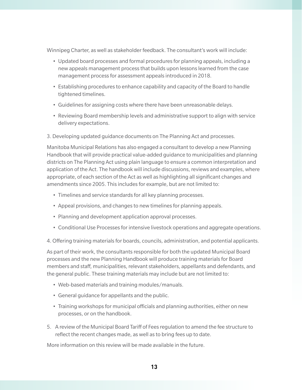Winnipeg Charter, as well as stakeholder feedback. The consultant's work will include:

- Updated board processes and formal procedures for planning appeals, including a new appeals management process that builds upon lessons learned from the case management process for assessment appeals introduced in 2018.
- Establishing procedures to enhance capability and capacity of the Board to handle tightened timelines.
- Guidelines for assigning costs where there have been unreasonable delays.
- Reviewing Board membership levels and administrative support to align with service delivery expectations.
- 3. Developing updated guidance documents on The Planning Act and processes.

Manitoba Municipal Relations has also engaged a consultant to develop a new Planning Handbook that will provide practical value-added guidance to municipalities and planning districts on The Planning Act using plain language to ensure a common interpretation and application of the Act. The handbook will include discussions, reviews and examples, where appropriate, of each section of the Act as well as highlighting all significant changes and amendments since 2005. This includes for example, but are not limited to:

- Timelines and service standards for all key planning processes.
- Appeal provisions, and changes to new timelines for planning appeals.
- Planning and development application approval processes.
- Conditional Use Processes for intensive livestock operations and aggregate operations.

4. Offering training materials for boards, councils, administration, and potential applicants.

As part of their work, the consultants responsible for both the updated Municipal Board processes and the new Planning Handbook will produce training materials for Board members and staff, municipalities, relevant stakeholders, appellants and defendants, and the general public. These training materials may include but are not limited to:

- Web-based materials and training modules/manuals.
- General guidance for appellants and the public.
- Training workshops for municipal officials and planning authorities, either on new processes, or on the handbook.
- 5. A review of the Municipal Board Tariff of Fees regulation to amend the fee structure to reflect the recent changes made, as well as to bring fees up to date.

More information on this review will be made available in the future.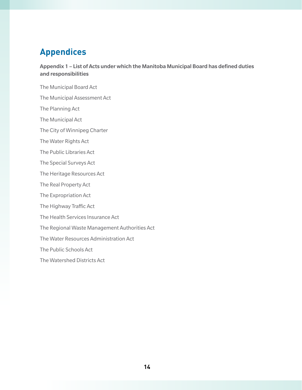# **Appendices**

Appendix 1 – List of Acts under which the Manitoba Municipal Board has defined duties and responsibilities

The Municipal Board Act The Municipal Assessment Act The Planning Act The Municipal Act The City of Winnipeg Charter The Water Rights Act The Public Libraries Act The Special Surveys Act The Heritage Resources Act The Real Property Act The Expropriation Act The Highway Traffic Act The Health Services Insurance Act The Regional Waste Management Authorities Act The Water Resources Administration Act The Public Schools Act The Watershed Districts Act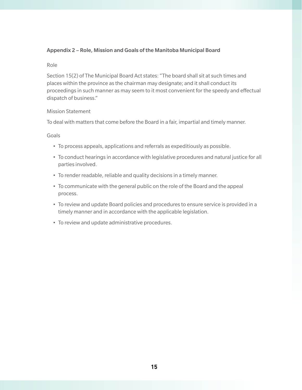# Appendix 2 – Role, Mission and Goals of the Manitoba Municipal Board

#### Role

Section 15(2) of The Municipal Board Act states: "The board shall sit at such times and places within the province as the chairman may designate; and it shall conduct its proceedings in such manner as may seem to it most convenient for the speedy and effectual dispatch of business."

#### Mission Statement

To deal with matters that come before the Board in a fair, impartial and timely manner.

Goals

- To process appeals, applications and referrals as expeditiously as possible.
- To conduct hearings in accordance with legislative procedures and natural justice for all parties involved.
- To render readable, reliable and quality decisions in a timely manner.
- To communicate with the general public on the role of the Board and the appeal process.
- To review and update Board policies and procedures to ensure service is provided in a timely manner and in accordance with the applicable legislation.
- To review and update administrative procedures.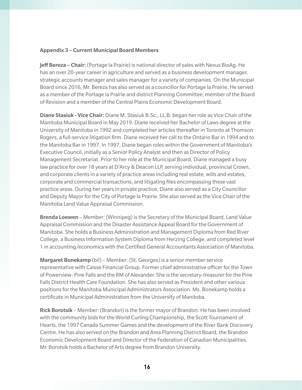#### Appendix 3 – Current Municipal Board Members

Jeff Bereza - Chair: (Portage la Prairie) is national director of sales with Nexus BioAg. He has an over 20-year career in agriculture and served as a business development manager, strategic accounts manager and sales manager for a variety of companies. On the Municipal Board since 2016, Mr. Bereza has also served as a councillor for Portage la Prairie. He served as a member of the Portage la Prairie and district Planning Committee, member of the Board of Revision and a member of the Central Plains Economic Development Board.

Diane Stasiuk - Vice Chair: Diane M. Stasiuk B.Sc., LL.B. began her role as Vice Chair of the Manitoba Municipal Board in May 2019. Diane received her Bachelor of Laws degree at the University of Manitoba in 1992 and completed her articles thereafter in Toronto at Thomson Rogers, a full-service litigation firm. Diane received her call to the Ontario Bar in 1994 and to the Manitoba Bar in 1997. In 1997, Diane began roles within the Government of Manitoba's Executive Council, initially as a Senior Policy Analyst and then as Director of Policy Management Secretariat. Prior to her role at the Municipal Board, Diane managed a busy law practice for over 18 years at D'Arcy & Deacon LLP, serving individual, provincial Crown, and corporate clients in a variety of practice areas including real estate, wills and estates, corporate and commercial transactions, and litigating files encompassing these vast practice areas. During her years in private practice, Diane also served as a City Councillor and Deputy Mayor for the City of Portage la Prairie. She also served as the Vice Chair of the Manitoba Land Value Appraisal Commission.

Brenda Loewen – Member: (Winnipeg) is the Secretary of the Municipal Board, Land Value Appraisal Commission and the Disaster Assistance Appeal Board for the Government of Manitoba. She holds a Business Administration and Management Diploma from Red River College, a Business Information System Diploma from Herzing College, and completed level 1 in accounting/economics with the Certified General Accountants Association of Manitoba.

Margaret Bonekamp (bil) – Member: (St. Georges) is a senior member service representative with Caisse Financial Group. Former chief administrative officer for the Town of Powerview- Pine Falls and the RM of Alexander. She is the secretary-treasurer for the Pine Falls District Health Care Foundation. She has also served as President and other various positions for the Manitoba Municipal Administrators Association. Ms. Bonekamp holds a certificate in Municipal Administration from the University of Manitoba.

Rick Borotsik – Member: (Brandon) is the former mayor of Brandon. He has been involved with the community bids for the World Curling Championship, the Scott Tournament of Hearts, the 1997 Canada Summer Games and the development of the River Bank Discovery Centre. He has also served on the Brandon and Area Planning District Board, the Brandon Economic Development Board and Director of the Federation of Canadian Municipalities. Mr. Borotsik holds a Bachelor of Arts degree from Brandon University.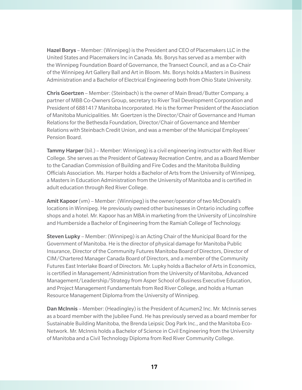Hazel Borys – Member: (Winnipeg) is the President and CEO of Placemakers LLC in the United States and Placemakers Inc in Canada. Ms. Borys has served as a member with the Winnipeg Foundation Board of Governance, the Transect Council, and as a Co-Chair of the Winnipeg Art Gallery Ball and Art in Bloom. Ms. Borys holds a Masters in Business Administration and a Bachelor of Electrical Engineering both from Ohio State University.

Chris Goertzen – Member: (Steinbach) is the owner of Main Bread/Butter Company, a partner of MBB Co-Owners Group, secretary to River Trail Development Corporation and President of 6881417 Manitoba Incorporated. He is the former President of the Association of Manitoba Municipalities. Mr. Goertzen is the Director/Chair of Governance and Human Relations for the Bethesda Foundation, Director/Chair of Governance and Member Relations with Steinbach Credit Union, and was a member of the Municipal Employees' Pension Board.

**Tammy Harper** (bil.) – Member: Winnipeg) is a civil engineering instructor with Red River College. She serves as the President of Gateway Recreation Centre, and as a Board Member to the Canadian Commission of Building and Fire Codes and the Manitoba Building Officials Association. Ms. Harper holds a Bachelor of Arts from the University of Winnipeg, a Masters in Education Administration from the University of Manitoba and is certified in adult education through Red River College.

Amit Kapoor (vm) – Member: (Winnipeg) is the owner/operator of two McDonald's locations in Winnipeg. He previously owned other businesses in Ontario including coffee shops and a hotel. Mr. Kapoor has an MBA in marketing from the University of Lincolnshire and Humberside a Bachelor of Engineering from the Ramiah College of Technology.

Steven Lupky – Member: (Winnipeg) is an Acting Chair of the Municipal Board for the Government of Manitoba. He is the director of physical damage for Manitoba Public Insurance, Director of the Community Futures Manitoba Board of Directors, Director of CIM/Chartered Manager Canada Board of Directors, and a member of the Community Futures East Interlake Board of Directors. Mr. Lupky holds a Bachelor of Arts in Economics, is certified in Management/Administration from the University of Manitoba, Advanced Management/Leadership/Strategy from Asper School of Business Executive Education, and Project Management Fundamentals from Red River College, and holds a Human Resource Management Diploma from the University of Winnipeg.

Dan McInnis – Member: (Headingley) is the President of Acumen2 Inc. Mr. McInnis serves as a board member with the Jubilee Fund. He has previously served as a board member for Sustainable Building Manitoba, the Brenda Leipsic Dog Park Inc., and the Manitoba Eco-Network. Mr. McInnis holds a Bachelor of Science in Civil Engineering from the University of Manitoba and a Civil Technology Diploma from Red River Community College.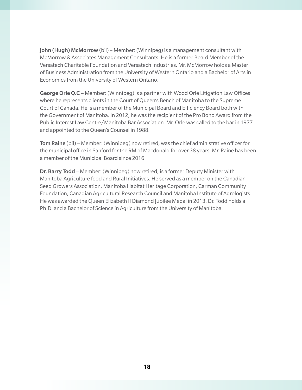John (Hugh) McMorrow (bil) – Member: (Winnipeg) is a management consultant with McMorrow & Associates Management Consultants. He is a former Board Member of the Versatech Charitable Foundation and Versatech Industries. Mr. McMorrow holds a Master of Business Administration from the University of Western Ontario and a Bachelor of Arts in Economics from the University of Western Ontario.

George Orle Q.C – Member: (Winnipeg) is a partner with Wood Orle Litigation Law Offices where he represents clients in the Court of Queen's Bench of Manitoba to the Supreme Court of Canada. He is a member of the Municipal Board and Efficiency Board both with the Government of Manitoba. In 2012, he was the recipient of the Pro Bono Award from the Public Interest Law Centre/Manitoba Bar Association. Mr. Orle was called to the bar in 1977 and appointed to the Queen's Counsel in 1988.

Tom Raine (bil) – Member: (Winnipeg) now retired, was the chief administrative officer for the municipal office in Sanford for the RM of Macdonald for over 38 years. Mr. Raine has been a member of the Municipal Board since 2016.

**Dr. Barry Todd** – Member: (Winnipeg) now retired, is a former Deputy Minister with Manitoba Agriculture food and Rural Initiatives. He served as a member on the Canadian Seed Growers Association, Manitoba Habitat Heritage Corporation, Carman Community Foundation, Canadian Agricultural Research Council and Manitoba Institute of Agrologists. He was awarded the Queen Elizabeth II Diamond Jubilee Medal in 2013. Dr. Todd holds a Ph.D. and a Bachelor of Science in Agriculture from the University of Manitoba.